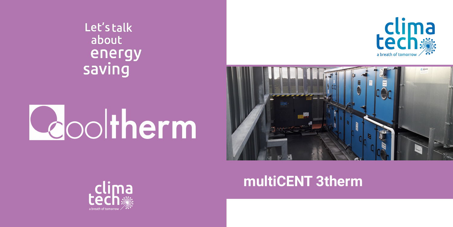Let's talk about energy saving

# Leooltherm





## multiCENT 3therm